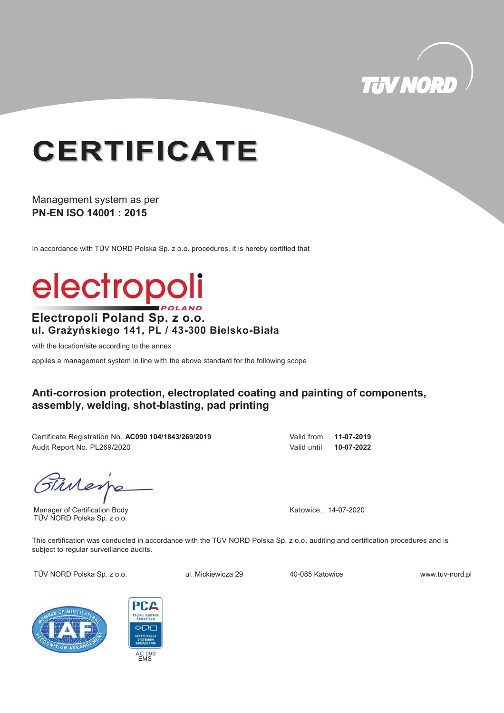

## **CERTIFICATE**

Management system as per **PN-EN ISO 14001 : 2015**

In accordance with TÜV NORD Polska Sp. z o.o. procedures, it is hereby certified that

# electropoli

#### **Electropoli Poland Sp. z o.o. ul. Grażyńskiego 141, PL / 43-300 Bielsko-Biała**

with the location/site according to the annex

applies a management system in line with the above standard for the following scope

#### **Anti-corrosion protection, electroplated coating and painting of components, assembly, welding, shot-blasting, pad printing**

Certificate Registration No. **AC090 104/1843/269/2019** Valid from **11-07-2019** Audit Report No. PL269/2020 Valid until **10-07-2022**

Tilleys

Manager of Certification Body TÜV NORD Polska Sp. z o.o.

Katowice, 14-07-2020

This certification was conducted in accordance with the TÜV NORD Polska Sp. z o.o. auditing and certification procedures and is subject to regular surveillance audits.

TÜV NORD Polska Sp. z o.o. v ul. Mickiewicza 29



40-085 Katowice

www.tuv-nord.pl